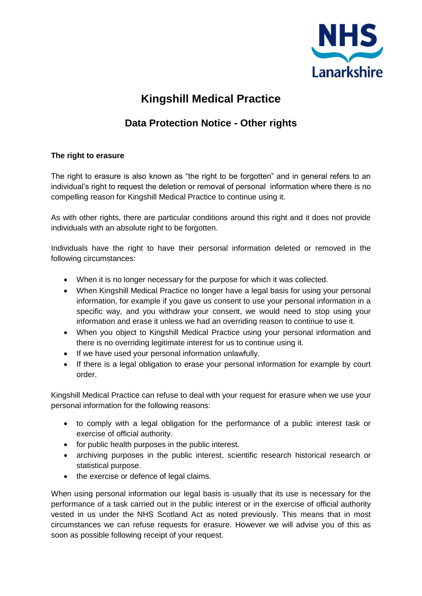

# **Kingshill Medical Practice**

## **Data Protection Notice - Other rights**

### **The right to erasure**

The right to erasure is also known as "the right to be forgotten" and in general refers to an individual's right to request the deletion or removal of personal information where there is no compelling reason for Kingshill Medical Practice to continue using it.

As with other rights, there are particular conditions around this right and it does not provide individuals with an absolute right to be forgotten.

Individuals have the right to have their personal information deleted or removed in the following circumstances:

- When it is no longer necessary for the purpose for which it was collected.
- When Kingshill Medical Practice no longer have a legal basis for using your personal information, for example if you gave us consent to use your personal information in a specific way, and you withdraw your consent, we would need to stop using your information and erase it unless we had an overriding reason to continue to use it.
- When you object to Kingshill Medical Practice using your personal information and there is no overriding legitimate interest for us to continue using it.
- If we have used your personal information unlawfully.
- If there is a legal obligation to erase your personal information for example by court order.

Kingshill Medical Practice can refuse to deal with your request for erasure when we use your personal information for the following reasons:

- to comply with a legal obligation for the performance of a public interest task or exercise of official authority.
- for public health purposes in the public interest.
- archiving purposes in the public interest, scientific research historical research or statistical purpose.
- the exercise or defence of legal claims.

When using personal information our legal basis is usually that its use is necessary for the performance of a task carried out in the public interest or in the exercise of official authority vested in us under the NHS Scotland Act as noted previously. This means that in most circumstances we can refuse requests for erasure. However we will advise you of this as soon as possible following receipt of your request.